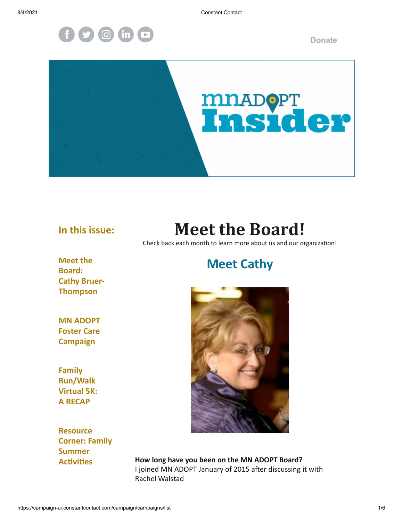8/4/2021 Constant Contact



**[Donate](https://donatenow.networkforgood.org/mnadopt)**



### **In this issue:**

## **Meet the Board!**

Check back each month to learn more about us and our organization!

**Meet the Board: Cathy Bruer-Thompson**

### **MN ADOPT Foster Care Campaign**

**Family Run/Walk Virtual 5K: A RECAP**

**Resource Corner: Family Summer Activities**

### **Meet Cathy**



**How long have you been on the MN ADOPT Board?** I joined MN ADOPT January of 2015 after discussing it with Rachel Walstad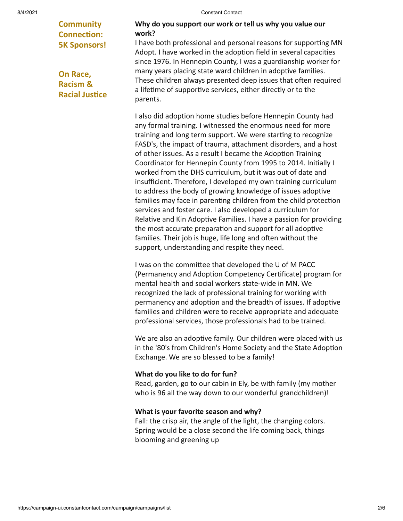**Community Connection: 5K Sponsors!**

**On Race, Racism & Racial Justice**

#### 8/4/2021 Constant Contact

#### **Why do you support our work or tell us why you value our work?**

I have both professional and personal reasons for supporting MN Adopt. I have worked in the adoption field in several capacities since 1976. In Hennepin County, I was a guardianship worker for many years placing state ward children in adoptive families. These children always presented deep issues that often required a lifetime of supportive services, either directly or to the parents.

I also did adoption home studies before Hennepin County had any formal training. I witnessed the enormous need for more training and long term support. We were starting to recognize FASD's, the impact of trauma, attachment disorders, and a host of other issues. As a result I became the Adoption Training Coordinator for Hennepin County from 1995 to 2014. Initially I worked from the DHS curriculum, but it was out of date and insufficient. Therefore, I developed my own training curriculum to address the body of growing knowledge of issues adoptive families may face in parenting children from the child protection services and foster care. I also developed a curriculum for Relative and Kin Adoptive Families. I have a passion for providing the most accurate preparation and support for all adoptive families. Their job is huge, life long and often without the support, understanding and respite they need.

I was on the committee that developed the U of M PACC (Permanency and Adoption Competency Certificate) program for mental health and social workers state-wide in MN. We recognized the lack of professional training for working with permanency and adoption and the breadth of issues. If adoptive families and children were to receive appropriate and adequate professional services, those professionals had to be trained.

We are also an adoptive family. Our children were placed with us in the '80's from Children's Home Society and the State Adoption Exchange. We are so blessed to be a family!

#### **What do you like to do for fun?**

Read, garden, go to our cabin in Ely, be with family (my mother who is 96 all the way down to our wonderful grandchildren)!

#### **What is your favorite season and why?**

Fall: the crisp air, the angle of the light, the changing colors. Spring would be a close second the life coming back, things blooming and greening up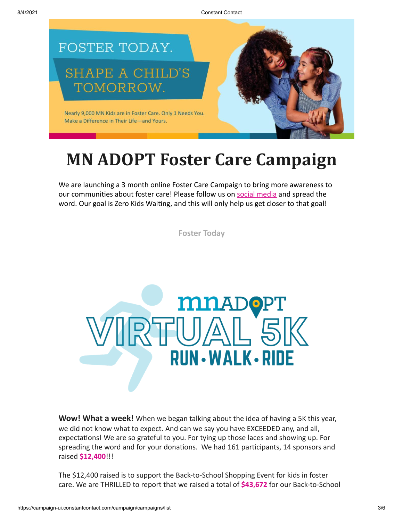8/4/2021 Constant Contact



## **MN ADOPT Foster Care Campaign**

We are launching a 3 month online Foster Care Campaign to bring more awareness to our communities about foster care! Please follow us on [social media](https://www.facebook.com/MNADOPT) and spread the word. Our goal is Zero Kids Waiting, and this will only help us get closer to that goal!

**[Foster Today](http://fostertodaymn.com/)**



**Wow! What a week!** When we began talking about the idea of having a 5K this year, we did not know what to expect. And can we say you have EXCEEDED any, and all, expectations! We are so grateful to you. For tying up those laces and showing up. For spreading the word and for your donations. We had 161 participants, 14 sponsors and raised **\$12,400**!!!

The \$12,400 raised is to support the Back-to-School Shopping Event for kids in foster care. We are THRILLED to report that we raised a total of **\$43,672** for our Back-to-School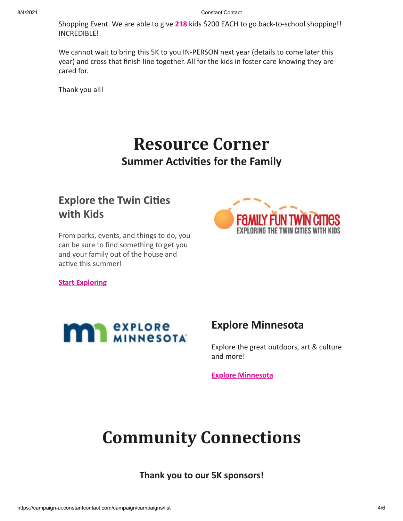Shopping Event. We are able to give **218** kids \$200 EACH to go back-to-school shopping!! INCREDIBLE!

We cannot wait to bring this 5K to you IN-PERSON next year (details to come later this year) and cross that finish line together. All for the kids in foster care knowing they are cared for.

Thank you all!

## **Resource Corner Summer Activities for the Family**

### **Explore the Twin Cities with Kids**

From parks, events, and things to do, you can be sure to find something to get you and your family out of the house and active this summer!



**[Start Exploring](https://www.familyfuntwincities.com/)**



### **Explore Minnesota**

Explore the great outdoors, art & culture and more!

**[Explore Minnesota](https://www.exploreminnesota.com/things-to-do?gclsrc=aw.ds&)**

## **Community Connections**

**Thank you to our 5K sponsors!**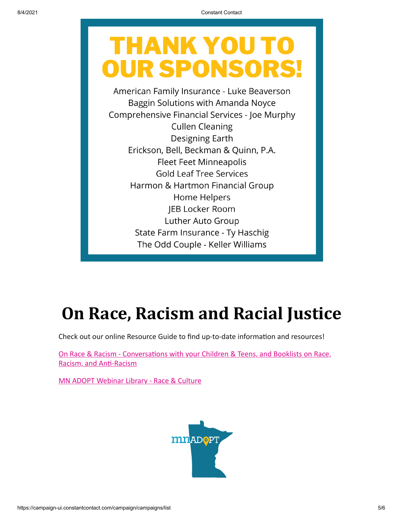# **THANK YOU T OUR SPONSORS**

American Family Insurance - Luke Beaverson Baggin Solutions with Amanda Noyce Comprehensive Financial Services - Joe Murphy **Cullen Cleaning Designing Earth** Erickson, Bell, Beckman & Quinn, P.A. **Fleet Feet Minneapolis Gold Leaf Tree Services** Harmon & Hartmon Financial Group Home Helpers JEB Locker Room Luther Auto Group State Farm Insurance - Ty Haschig The Odd Couple - Keller Williams

## **On Race, Racism and Racial Justice**

Check out our online Resource Guide to find up-to-date information and resources!

[On Race & Racism - Conversations with your Children & Teens, and Booklists on Race,](https://www.mnadopt.org/resources/on-race-racism/) Racism, and Anti-Racism

[MN ADOPT Webinar Library - Race & Culture](https://www.mnadopt.org/education/webinar-library/webinars-topic/)